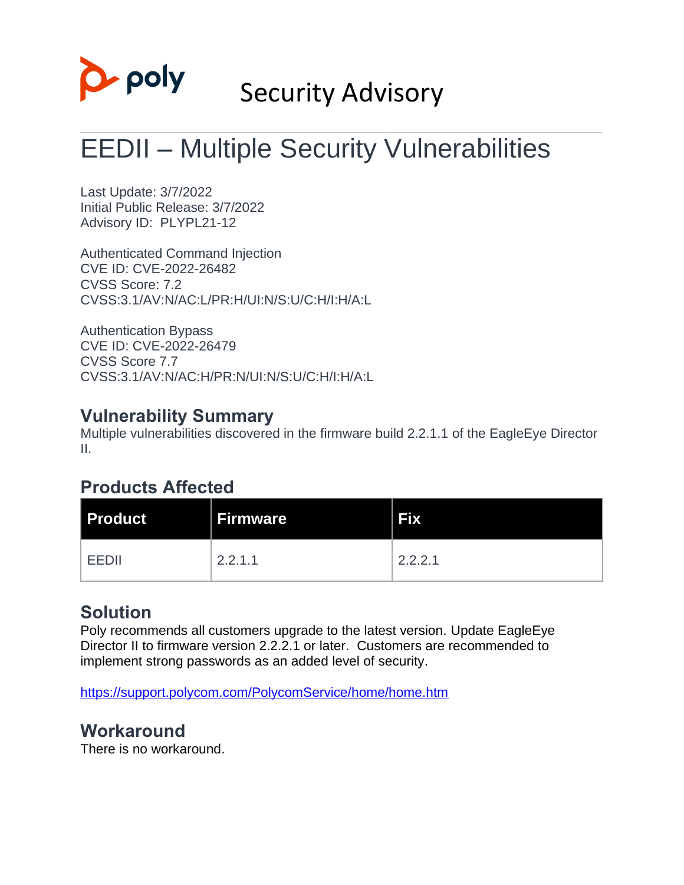

# Security Advisory

# EEDII – Multiple Security Vulnerabilities

Last Update: 3/7/2022 Initial Public Release: 3/7/2022 Advisory ID: PLYPL21-12

Authenticated Command Injection CVE ID: CVE-2022-26482 CVSS Score: 7.2 CVSS:3.1/AV:N/AC:L/PR:H/UI:N/S:U/C:H/I:H/A:L

Authentication Bypass CVE ID: CVE-2022-26479 CVSS Score 7.7 CVSS:3.1/AV:N/AC:H/PR:N/UI:N/S:U/C:H/I:H/A:L

## **Vulnerability Summary**

Multiple vulnerabilities discovered in the firmware build 2.2.1.1 of the EagleEye Director II.

## **Products Affected**

| <b>Product</b> | <b>Firmware</b> | <b>Fix</b> |
|----------------|-----------------|------------|
| FFDII          | 2.2.1.1         | 2.2.2.1    |

## **Solution**

Poly recommends all customers upgrade to the latest version. Update EagleEye Director II to firmware version 2.2.2.1 or later. Customers are recommended to implement strong passwords as an added level of security.

<https://support.polycom.com/PolycomService/home/home.htm>

## **Workaround**

There is no workaround.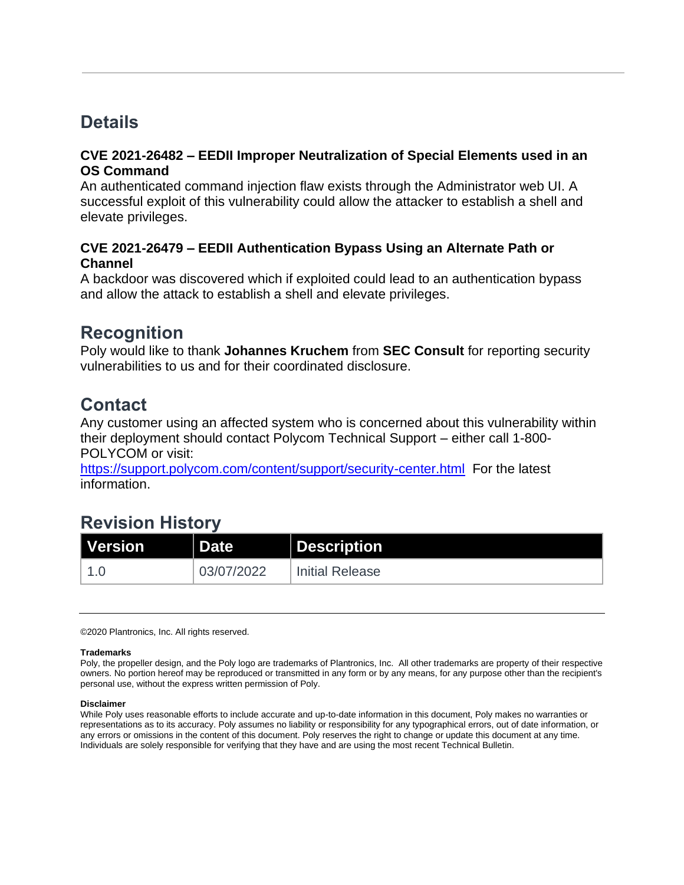## **Details**

### **CVE 2021-26482 – EEDII Improper Neutralization of Special Elements used in an OS Command**

An authenticated command injection flaw exists through the Administrator web UI. A successful exploit of this vulnerability could allow the attacker to establish a shell and elevate privileges.

## **CVE 2021-26479 – EEDII Authentication Bypass Using an Alternate Path or Channel**

A backdoor was discovered which if exploited could lead to an authentication bypass and allow the attack to establish a shell and elevate privileges.

## **Recognition**

Poly would like to thank **Johannes Kruchem** from **SEC Consult** for reporting security vulnerabilities to us and for their coordinated disclosure.

## **Contact**

Any customer using an affected system who is concerned about this vulnerability within their deployment should contact Polycom Technical Support – either call 1-800- POLYCOM or visit:

<https://support.polycom.com/content/support/security-center.html>For the latest information.

# **Revision History**

| Version<br>I | <b>Date</b> | Description            |
|--------------|-------------|------------------------|
|              | 03/07/2022  | <b>Initial Release</b> |

©2020 Plantronics, Inc. All rights reserved.

### **Trademarks**

Poly, the propeller design, and the Poly logo are trademarks of Plantronics, Inc. All other trademarks are property of their respective owners. No portion hereof may be reproduced or transmitted in any form or by any means, for any purpose other than the recipient's personal use, without the express written permission of Poly.

### **Disclaimer**

While Poly uses reasonable efforts to include accurate and up-to-date information in this document, Poly makes no warranties or representations as to its accuracy. Poly assumes no liability or responsibility for any typographical errors, out of date information, or any errors or omissions in the content of this document. Poly reserves the right to change or update this document at any time. Individuals are solely responsible for verifying that they have and are using the most recent Technical Bulletin.